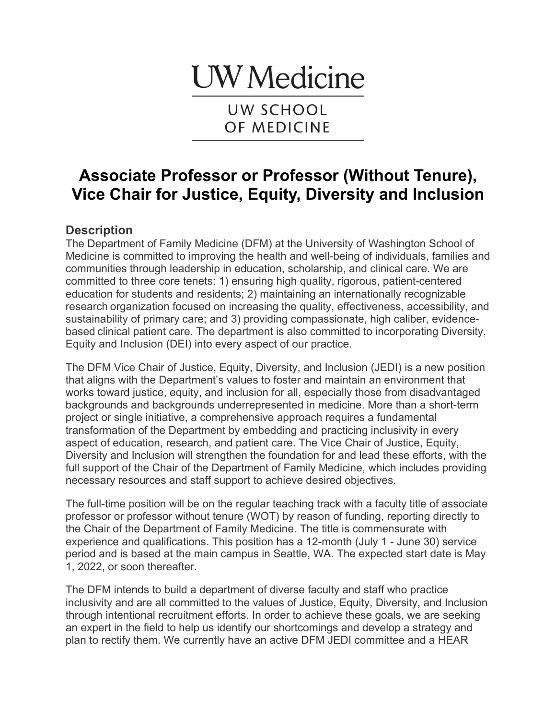# **UW** Medicine

UW SCHOOL OF MEDICINE

# **Associate Professor or Professor (Without Tenure), Vice Chair for Justice, Equity, Diversity and Inclusion**

## **Description**

The Department of Family Medicine (DFM) at the University of Washington School of Medicine is committed to improving the health and well-being of individuals, families and communities through leadership in education, scholarship, and clinical care. We are committed to three core tenets: 1) ensuring high quality, rigorous, patient-centered education for students and residents; 2) maintaining an internationally recognizable research organization focused on increasing the quality, effectiveness, accessibility, and sustainability of primary care; and 3) providing compassionate, high caliber, evidencebased clinical patient care. The department is also committed to incorporating Diversity, Equity and Inclusion (DEI) into every aspect of our practice.

The DFM Vice Chair of Justice, Equity, Diversity, and Inclusion (JEDI) is a new position that aligns with the Department's values to foster and maintain an environment that works toward justice, equity, and inclusion for all, especially those from disadvantaged backgrounds and backgrounds underrepresented in medicine. More than a short-term project or single initiative, a comprehensive approach requires a fundamental transformation of the Department by embedding and practicing inclusivity in every aspect of education, research, and patient care. The Vice Chair of Justice, Equity, Diversity and Inclusion will strengthen the foundation for and lead these efforts, with the full support of the Chair of the Department of Family Medicine, which includes providing necessary resources and staff support to achieve desired objectives.

The full-time position will be on the regular teaching track with a faculty title of associate professor or professor without tenure (WOT) by reason of funding, reporting directly to the Chair of the Department of Family Medicine. The title is commensurate with experience and qualifications. This position has a 12-month (July 1 - June 30) service period and is based at the main campus in Seattle, WA. The expected start date is May 1, 2022, or soon thereafter.

The DFM intends to build a department of diverse faculty and staff who practice inclusivity and are all committed to the values of Justice, Equity, Diversity, and Inclusion through intentional recruitment efforts. In order to achieve these goals, we are seeking an expert in the field to help us identify our shortcomings and develop a strategy and plan to rectify them. We currently have an active DFM JEDI committee and a HEAR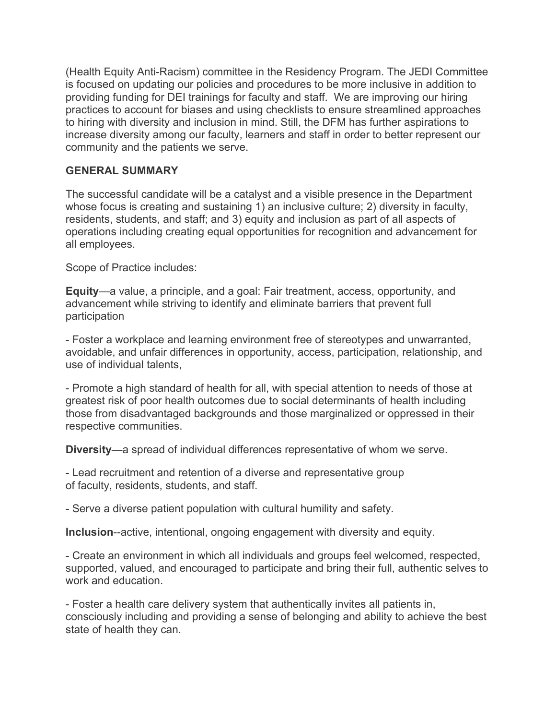(Health Equity Anti-Racism) committee in the Residency Program. The JEDI Committee is focused on updating our policies and procedures to be more inclusive in addition to providing funding for DEI trainings for faculty and staff. We are improving our hiring practices to account for biases and using checklists to ensure streamlined approaches to hiring with diversity and inclusion in mind. Still, the DFM has further aspirations to increase diversity among our faculty, learners and staff in order to better represent our community and the patients we serve.

#### **GENERAL SUMMARY**

The successful candidate will be a catalyst and a visible presence in the Department whose focus is creating and sustaining 1) an inclusive culture; 2) diversity in faculty, residents, students, and staff; and 3) equity and inclusion as part of all aspects of operations including creating equal opportunities for recognition and advancement for all employees.

Scope of Practice includes:

**Equity**—a value, a principle, and a goal: Fair treatment, access, opportunity, and advancement while striving to identify and eliminate barriers that prevent full participation

- Foster a workplace and learning environment free of stereotypes and unwarranted, avoidable, and unfair differences in opportunity, access, participation, relationship, and use of individual talents,

- Promote a high standard of health for all, with special attention to needs of those at greatest risk of poor health outcomes due to social determinants of health including those from disadvantaged backgrounds and those marginalized or oppressed in their respective communities.

**Diversity**—a spread of individual differences representative of whom we serve.

- Lead recruitment and retention of a diverse and representative group of faculty, residents, students, and staff.

- Serve a diverse patient population with cultural humility and safety.

**Inclusion**--active, intentional, ongoing engagement with diversity and equity.

- Create an environment in which all individuals and groups feel welcomed, respected, supported, valued, and encouraged to participate and bring their full, authentic selves to work and education.

- Foster a health care delivery system that authentically invites all patients in, consciously including and providing a sense of belonging and ability to achieve the best state of health they can.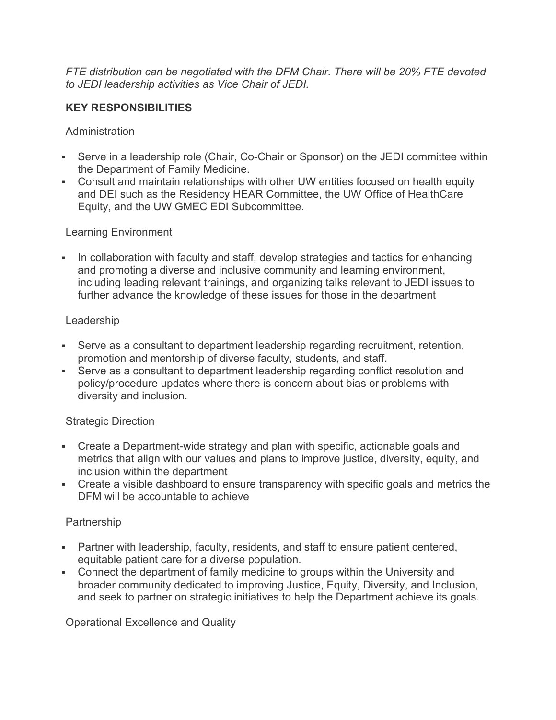*FTE distribution can be negotiated with the DFM Chair. There will be 20% FTE devoted to JEDI leadership activities as Vice Chair of JEDI.*

#### **KEY RESPONSIBILITIES**

**Administration** 

- Serve in a leadership role (Chair, Co-Chair or Sponsor) on the JEDI committee within the Department of Family Medicine.
- Consult and maintain relationships with other UW entities focused on health equity and DEI such as the Residency HEAR Committee, the UW Office of HealthCare Equity, and the UW GMEC EDI Subcommittee.

#### Learning Environment

• In collaboration with faculty and staff, develop strategies and tactics for enhancing and promoting a diverse and inclusive community and learning environment, including leading relevant trainings, and organizing talks relevant to JEDI issues to further advance the knowledge of these issues for those in the department

#### Leadership

- Serve as a consultant to department leadership regarding recruitment, retention, promotion and mentorship of diverse faculty, students, and staff.
- Serve as a consultant to department leadership regarding conflict resolution and policy/procedure updates where there is concern about bias or problems with diversity and inclusion.

#### Strategic Direction

- Create a Department-wide strategy and plan with specific, actionable goals and metrics that align with our values and plans to improve justice, diversity, equity, and inclusion within the department
- Create a visible dashboard to ensure transparency with specific goals and metrics the DFM will be accountable to achieve

#### Partnership

- Partner with leadership, faculty, residents, and staff to ensure patient centered, equitable patient care for a diverse population.
- Connect the department of family medicine to groups within the University and broader community dedicated to improving Justice, Equity, Diversity, and Inclusion, and seek to partner on strategic initiatives to help the Department achieve its goals.

Operational Excellence and Quality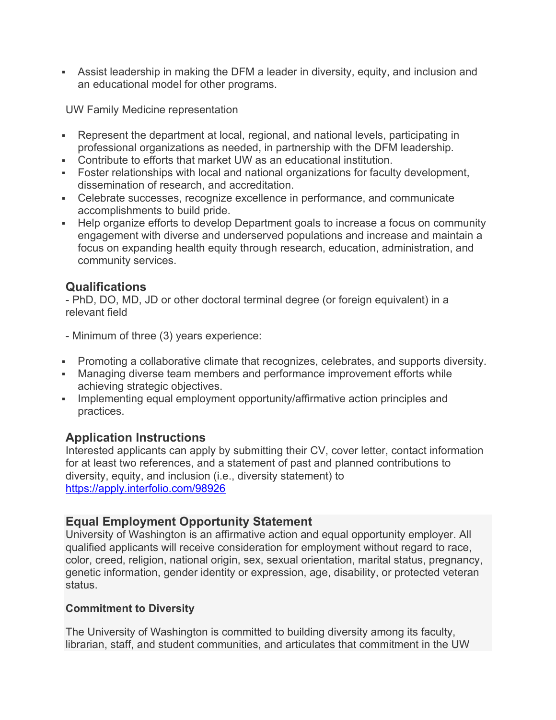• Assist leadership in making the DFM a leader in diversity, equity, and inclusion and an educational model for other programs.

UW Family Medicine representation

- Represent the department at local, regional, and national levels, participating in professional organizations as needed, in partnership with the DFM leadership.
- Contribute to efforts that market UW as an educational institution.
- Foster relationships with local and national organizations for faculty development, dissemination of research, and accreditation.
- Celebrate successes, recognize excellence in performance, and communicate accomplishments to build pride.
- Help organize efforts to develop Department goals to increase a focus on community engagement with diverse and underserved populations and increase and maintain a focus on expanding health equity through research, education, administration, and community services.

## **Qualifications**

- PhD, DO, MD, JD or other doctoral terminal degree (or foreign equivalent) in a relevant field

- Minimum of three (3) years experience:

- Promoting a collaborative climate that recognizes, celebrates, and supports diversity.
- Managing diverse team members and performance improvement efforts while achieving strategic objectives.
- Implementing equal employment opportunity/affirmative action principles and practices.

#### **Application Instructions**

Interested applicants can apply by submitting their CV, cover letter, contact information for at least two references, and a statement of past and planned contributions to diversity, equity, and inclusion (i.e., diversity statement) to https://apply.interfolio.com/98926

#### **Equal Employment Opportunity Statement**

University of Washington is an affirmative action and equal opportunity employer. All qualified applicants will receive consideration for employment without regard to race, color, creed, religion, national origin, sex, sexual orientation, marital status, pregnancy, genetic information, gender identity or expression, age, disability, or protected veteran status.

#### **Commitment to Diversity**

The University of Washington is committed to building diversity among its faculty, librarian, staff, and student communities, and articulates that commitment in the UW